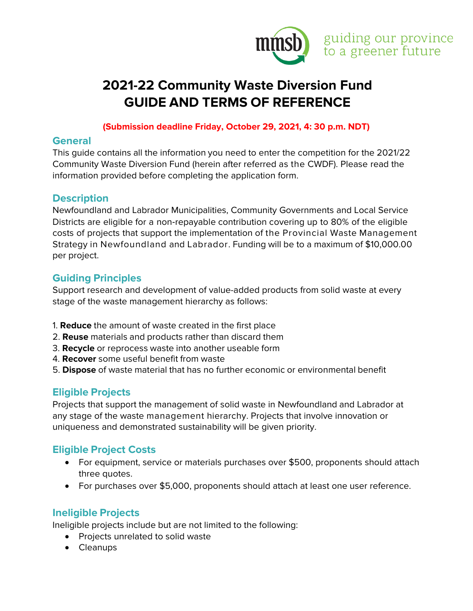

# **2021-22 Community Waste Diversion Fund GUIDE AND TERMS OF REFERENCE**

#### **(Submission deadline Friday, October 29, 2021, 4: 30 p.m. NDT)**

#### **General**

This guide contains all the information you need to enter the competition for the 2021/22 Community Waste Diversion Fund (herein after referred as the CWDF). Please read the information provided before completing the application form.

#### **Description**

Newfoundland and Labrador Municipalities, Community Governments and Local Service Districts are eligible for a non-repayable contribution covering up to 80% of the eligible costs of projects that support the implementation of the Provincial Waste Management Strategy in Newfoundland and Labrador. Funding will be to a maximum of \$10,000.00 per project.

#### **Guiding Principles**

Support research and development of value-added products from solid waste at every stage of the waste management hierarchy as follows:

- 1. **Reduce** the amount of waste created in the first place
- 2. **Reuse** materials and products rather than discard them
- 3. **Recycle** or reprocess waste into another useable form
- 4. **Recover** some useful benefit from waste
- 5. **Dispose** of waste material that has no further economic or environmental benefit

## **Eligible Projects**

Projects that support the management of solid waste in Newfoundland and Labrador at any stage of the waste management hierarchy. Projects that involve innovation or uniqueness and demonstrated sustainability will be given priority.

## **Eligible Project Costs**

- For equipment, service or materials purchases over \$500, proponents should attach three quotes.
- For purchases over \$5,000, proponents should attach at least one user reference.

## **Ineligible Projects**

Ineligible projects include but are not limited to the following:

- Projects unrelated to solid waste
- Cleanups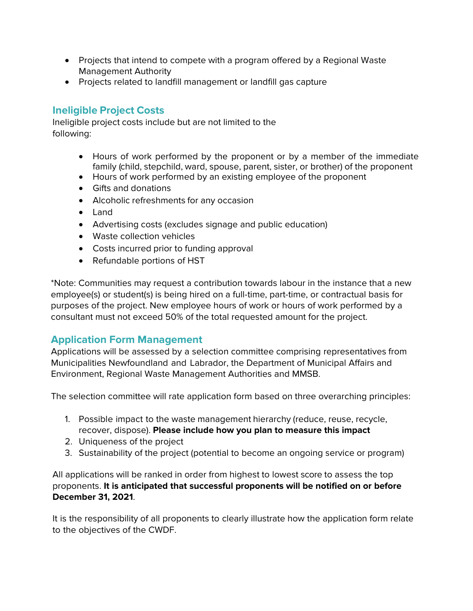- Projects that intend to compete with a program offered by a Regional Waste Management Authority
- Projects related to landfill management or landfill gas capture

# **Ineligible Project Costs**

Ineligible project costs include but are not limited to the following:

- Hours of work performed by the proponent or by a member of the immediate family (child, stepchild, ward, spouse, parent, sister, or brother) of the proponent
- Hours of work performed by an existing employee of the proponent
- Gifts and donations
- Alcoholic refreshments for any occasion
- Land
- Advertising costs (excludes signage and public education)
- Waste collection vehicles
- Costs incurred prior to funding approval
- Refundable portions of HST

\*Note: Communities may request a contribution towards labour in the instance that a new employee(s) or student(s) is being hired on a full-time, part-time, or contractual basis for purposes of the project. New employee hours of work or hours of work performed by a consultant must not exceed 50% of the total requested amount for the project.

## **Application Form Management**

Applications will be assessed by a selection committee comprising representatives from Municipalities Newfoundland and Labrador, the Department of Municipal Affairs and Environment, Regional Waste Management Authorities and MMSB.

The selection committee will rate application form based on three overarching principles:

- 1. Possible impact to the waste management hierarchy (reduce, reuse, recycle, recover, dispose). **Please include how you plan to measure this impact**
- 2. Uniqueness of the project
- 3. Sustainability of the project (potential to become an ongoing service or program)

All applications will be ranked in order from highest to lowest score to assess the top proponents. **It is anticipated that successful proponents will be notified on or before December 31, 2021**.

It is the responsibility of all proponents to clearly illustrate how the application form relate to the objectives of the CWDF.